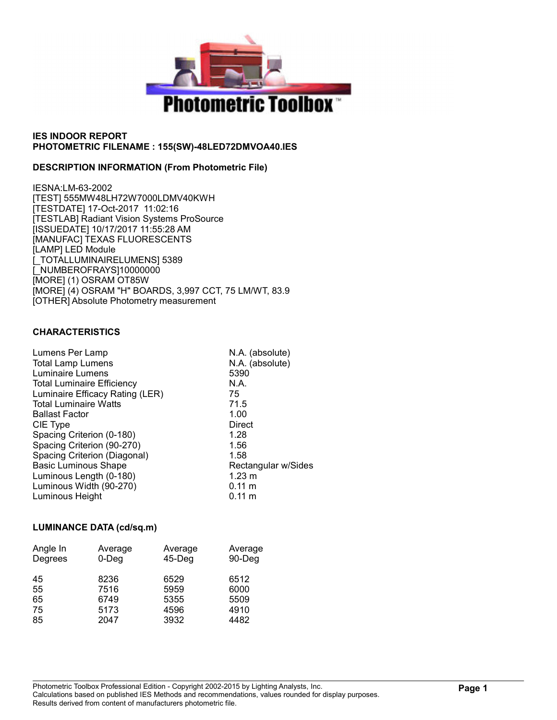

## DESCRIPTION INFORMATION (From Photometric File)

IESNA:LM-63-2002 [TEST] 555MW48LH72W7000LDMV40KWH [TESTDATE] 17-Oct-2017 11:02:16 [TESTLAB] Radiant Vision Systems ProSource [ISSUEDATE] 10/17/2017 11:55:28 AM [MANUFAC] TEXAS FLUORESCENTS [LAMP] LED Module [\_TOTALLUMINAIRELUMENS] 5389 [\_NUMBEROFRAYS]10000000 [MORE] (1) OSRAM OT85W [MORE] (4) OSRAM "H" BOARDS, 3,997 CCT, 75 LM/WT, 83.9 [OTHER] Absolute Photometry measurement

## CHARACTERISTICS

| Lumens Per Lamp                   | N.A. (absolute)     |
|-----------------------------------|---------------------|
| <b>Total Lamp Lumens</b>          | N.A. (absolute)     |
| Luminaire Lumens                  | 5390                |
| <b>Total Luminaire Efficiency</b> | N.A.                |
| Luminaire Efficacy Rating (LER)   | 75                  |
| <b>Total Luminaire Watts</b>      | 71.5                |
| <b>Ballast Factor</b>             | 1.00                |
| CIE Type                          | Direct              |
| Spacing Criterion (0-180)         | 1.28                |
| Spacing Criterion (90-270)        | 1.56                |
| Spacing Criterion (Diagonal)      | 1.58                |
| <b>Basic Luminous Shape</b>       | Rectangular w/Sides |
| Luminous Length (0-180)           | $1.23 \text{ m}$    |
| Luminous Width (90-270)           | $0.11 \text{ m}$    |
| Luminous Height                   | $0.11 \text{ m}$    |
|                                   |                     |

## LUMINANCE DATA (cd/sq.m)

| Average<br>$0$ -Deg | Average<br>$45$ -Deg | Average<br>90-Deg |  |  |  |
|---------------------|----------------------|-------------------|--|--|--|
| 8236                | 6529                 | 6512              |  |  |  |
| 7516                | 5959                 | 6000              |  |  |  |
| 6749                | 5355                 | 5509              |  |  |  |
| 5173                | 4596                 | 4910              |  |  |  |
| 2047                | 3932                 | 4482              |  |  |  |
|                     |                      |                   |  |  |  |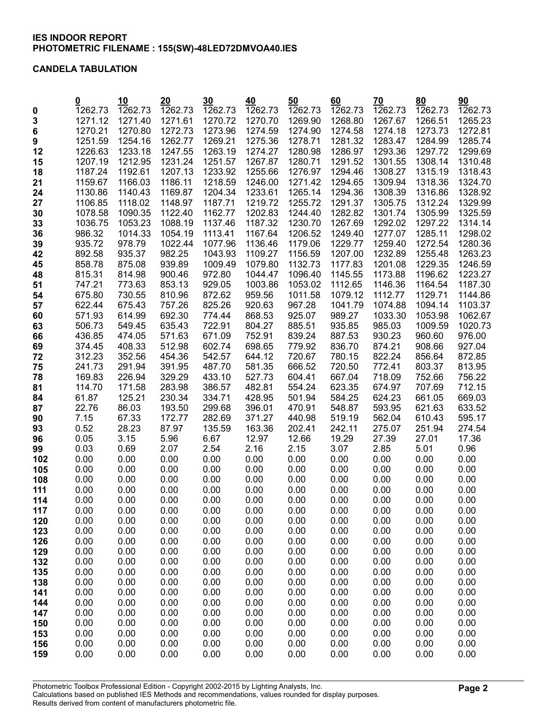#### CANDELA TABULATION

|             | <u>0</u>         | 10               | 20               | 30               | 40               | 50               | 60               | 70               | 80                | 90                |
|-------------|------------------|------------------|------------------|------------------|------------------|------------------|------------------|------------------|-------------------|-------------------|
| $\mathbf 0$ | 1262.73          | 1262.73          | 1262.73          | 1262.73          | 1262.73          | 1262.73          | 1262.73          | 1262.73          | 1262.73           | 1262.73           |
| 3           | 1271.12          | 1271.40          | 1271.61          | 1270.72          | 1270.70          | 1269.90          | 1268.80          | 1267.67          | 1266.51           | 1265.23           |
| 6           | 1270.21          | 1270.80          | 1272.73          | 1273.96          | 1274.59          | 1274.90          | 1274.58          | 1274.18          | 1273.73           | 1272.81           |
| 9           | 1251.59          | 1254.16          | 1262.77          | 1269.21          | 1275.36          | 1278.71          | 1281.32          | 1283.47          | 1284.99           | 1285.74           |
| 12          | 1226.63          | 1233.18          | 1247.55          | 1263.19          | 1274.27          | 1280.98          | 1286.97          | 1293.36          | 1297.72           | 1299.69           |
| 15          | 1207.19          | 1212.95          | 1231.24          | 1251.57          | 1267.87          | 1280.71          | 1291.52          | 1301.55          | 1308.14           | 1310.48           |
| 18          | 1187.24          | 1192.61          | 1207.13          | 1233.92          | 1255.66          | 1276.97          | 1294.46          | 1308.27          | 1315.19           | 1318.43           |
| 21          | 1159.67          | 1166.03          | 1186.11          | 1218.59          | 1246.00          | 1271.42          | 1294.65          | 1309.94          | 1318.36           | 1324.70           |
| 24          | 1130.86          | 1140.43          | 1169.87          | 1204.34          | 1233.61          | 1265.14          | 1294.36          | 1308.39          | 1316.86           | 1328.92           |
| 27          | 1106.85          | 1118.02          | 1148.97          | 1187.71          | 1219.72          | 1255.72          | 1291.37          | 1305.75          | 1312.24           | 1329.99           |
| 30          | 1078.58          | 1090.35          | 1122.40          | 1162.77          | 1202.83          | 1244.40          | 1282.82          | 1301.74          | 1305.99           | 1325.59           |
| 33          | 1036.75          | 1053.23          | 1088.19          | 1137.46          | 1187.32          | 1230.70          | 1267.69          | 1292.02          | 1297.22           | 1314.14           |
| 36          | 986.32           | 1014.33          | 1054.19          | 1113.41          | 1167.64          | 1206.52          | 1249.40          | 1277.07          | 1285.11           | 1298.02           |
| 39          | 935.72           | 978.79           | 1022.44          | 1077.96          | 1136.46          | 1179.06          | 1229.77          | 1259.40          | 1272.54           | 1280.36           |
| 42          | 892.58           | 935.37           | 982.25           | 1043.93          | 1109.27          | 1156.59          | 1207.00          | 1232.89          | 1255.48           | 1263.23           |
| 45          | 858.78           | 875.08           | 939.89           | 1009.49          | 1079.80          | 1132.73          | 1177.83          | 1201.08          | 1229.35           | 1246.59           |
| 48          | 815.31           | 814.98           | 900.46           | 972.80           | 1044.47          | 1096.40          | 1145.55          | 1173.88          | 1196.62           | 1223.27           |
| 51          | 747.21           | 773.63           | 853.13           | 929.05           | 1003.86          | 1053.02          | 1112.65          | 1146.36          | 1164.54           | 1187.30           |
| 54          | 675.80           | 730.55           | 810.96           | 872.62           | 959.56           | 1011.58          | 1079.12          | 1112.77          | 1129.71           | 1144.86           |
| 57          | 622.44           | 675.43           | 757.26           | 825.26           | 920.63           | 967.28           | 1041.79          | 1074.88          | 1094.14           | 1103.37           |
| 60          | 571.93           | 614.99           | 692.30           | 774.44<br>722.91 | 868.53           | 925.07           | 989.27           | 1033.30          | 1053.98           | 1062.67           |
| 63          | 506.73<br>436.85 | 549.45<br>474.05 | 635.43<br>571.63 | 671.09           | 804.27<br>752.91 | 885.51<br>839.24 | 935.85<br>887.53 | 985.03<br>930.23 | 1009.59<br>960.60 | 1020.73<br>976.00 |
| 66<br>69    | 374.45           | 408.33           | 512.98           | 602.74           | 698.65           | 779.92           | 836.70           | 874.21           | 908.66            | 927.04            |
| 72          | 312.23           | 352.56           | 454.36           | 542.57           | 644.12           | 720.67           | 780.15           | 822.24           | 856.64            | 872.85            |
| 75          | 241.73           | 291.94           | 391.95           | 487.70           | 581.35           | 666.52           | 720.50           | 772.41           | 803.37            | 813.95            |
| 78          | 169.83           | 226.94           | 329.29           | 433.10           | 527.73           | 604.41           | 667.04           | 718.09           | 752.66            | 756.22            |
| 81          | 114.70           | 171.58           | 283.98           | 386.57           | 482.81           | 554.24           | 623.35           | 674.97           | 707.69            | 712.15            |
| 84          | 61.87            | 125.21           | 230.34           | 334.71           | 428.95           | 501.94           | 584.25           | 624.23           | 661.05            | 669.03            |
| 87          | 22.76            | 86.03            | 193.50           | 299.68           | 396.01           | 470.91           | 548.87           | 593.95           | 621.63            | 633.52            |
| 90          | 7.15             | 67.33            | 172.77           | 282.69           | 371.27           | 440.98           | 519.19           | 562.04           | 610.43            | 595.17            |
| 93          | 0.52             | 28.23            | 87.97            | 135.59           | 163.36           | 202.41           | 242.11           | 275.07           | 251.94            | 274.54            |
| 96          | 0.05             | 3.15             | 5.96             | 6.67             | 12.97            | 12.66            | 19.29            | 27.39            | 27.01             | 17.36             |
| 99          | 0.03             | 0.69             | 2.07             | 2.54             | 2.16             | 2.15             | 3.07             | 2.85             | 5.01              | 0.96              |
| 102         | 0.00             | 0.00             | 0.00             | 0.00             | 0.00             | 0.00             | 0.00             | 0.00             | 0.00              | 0.00              |
| 105         | 0.00             | 0.00             | 0.00             | 0.00             | 0.00             | 0.00             | 0.00             | 0.00             | 0.00              | 0.00              |
| 108         | 0.00             | 0.00             | 0.00             | 0.00             | 0.00             | 0.00             | 0.00             | 0.00             | 0.00              | 0.00              |
| 111         | 0.00             | 0.00             | 0.00             | 0.00             | 0.00             | 0.00             | 0.00             | 0.00             | 0.00              | 0.00              |
| 114         | 0.00             | 0.00             | 0.00             | 0.00             | 0.00             | 0.00             | 0.00             | 0.00             | 0.00              | 0.00              |
| 117         | 0.00             | 0.00             | 0.00             | 0.00             | 0.00             | 0.00             | 0.00             | 0.00             | 0.00              | 0.00              |
| 120         | 0.00<br>0.00     | 0.00<br>0.00     | 0.00<br>0.00     | 0.00<br>0.00     | 0.00<br>0.00     | 0.00<br>0.00     | 0.00<br>0.00     | 0.00<br>0.00     | 0.00<br>0.00      | 0.00<br>0.00      |
| 123<br>126  | 0.00             | 0.00             | 0.00             | 0.00             | 0.00             | 0.00             | 0.00             | 0.00             | 0.00              | 0.00              |
| 129         | 0.00             | 0.00             | 0.00             | 0.00             | 0.00             | 0.00             | 0.00             | 0.00             | 0.00              | 0.00              |
| 132         | 0.00             | 0.00             | 0.00             | 0.00             | 0.00             | 0.00             | 0.00             | 0.00             | 0.00              | 0.00              |
| 135         | 0.00             | 0.00             | 0.00             | 0.00             | 0.00             | 0.00             | 0.00             | 0.00             | 0.00              | 0.00              |
| 138         | 0.00             | 0.00             | 0.00             | 0.00             | 0.00             | 0.00             | 0.00             | 0.00             | 0.00              | 0.00              |
| 141         | 0.00             | 0.00             | 0.00             | 0.00             | 0.00             | 0.00             | 0.00             | 0.00             | 0.00              | 0.00              |
| 144         | 0.00             | 0.00             | 0.00             | 0.00             | 0.00             | 0.00             | 0.00             | 0.00             | 0.00              | 0.00              |
| 147         | 0.00             | 0.00             | 0.00             | 0.00             | 0.00             | 0.00             | 0.00             | 0.00             | 0.00              | 0.00              |
| 150         | 0.00             | 0.00             | 0.00             | 0.00             | 0.00             | 0.00             | 0.00             | 0.00             | 0.00              | 0.00              |
| 153         | 0.00             | 0.00             | 0.00             | 0.00             | 0.00             | 0.00             | 0.00             | 0.00             | 0.00              | 0.00              |
| 156         | 0.00             | 0.00             | 0.00             | 0.00             | 0.00             | 0.00             | 0.00             | 0.00             | 0.00              | 0.00              |
| 159         | 0.00             | 0.00             | 0.00             | 0.00             | 0.00             | 0.00             | 0.00             | 0.00             | 0.00              | 0.00              |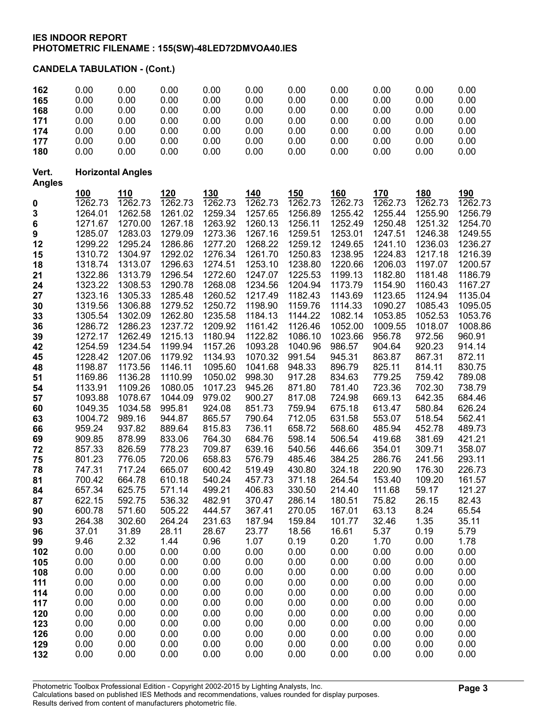CANDELA TABULATION - (Cont.)

| 162                    | 0.00                     | 0.00               | 0.00               | 0.00               | 0.00               | 0.00               | 0.00               | 0.00               | 0.00               | 0.00               |
|------------------------|--------------------------|--------------------|--------------------|--------------------|--------------------|--------------------|--------------------|--------------------|--------------------|--------------------|
| 165                    | 0.00                     | 0.00               | 0.00               | 0.00               | 0.00               | 0.00               | 0.00               | 0.00               | 0.00               | 0.00               |
| 168                    | 0.00                     | 0.00               | 0.00               | 0.00               | 0.00               | 0.00               | 0.00               | 0.00               | 0.00               | 0.00               |
| 171                    | 0.00                     | 0.00               | 0.00               | 0.00               | 0.00               | 0.00               | 0.00               | 0.00               | 0.00               | 0.00               |
| 174                    | 0.00                     | 0.00               | 0.00               | 0.00               | 0.00               | 0.00               | 0.00               | 0.00               | 0.00               | 0.00               |
| 177                    | 0.00                     | 0.00               | 0.00               | 0.00               | 0.00               | 0.00               | 0.00               | 0.00               | 0.00               | 0.00               |
| 180                    | 0.00                     | 0.00               | 0.00               | 0.00               | 0.00               | 0.00               | 0.00               | 0.00               | 0.00               | 0.00               |
| Vert.<br><b>Angles</b> | <b>Horizontal Angles</b> |                    |                    |                    |                    |                    |                    |                    |                    |                    |
|                        | <u>100</u>               | 110                | 120                | <u>130</u>         | 140                | <u>150</u>         | <u>160</u>         | <u>170</u>         | <u>180</u>         | 190                |
| 0                      | 1262.73                  | 1262.73            | 1262.73            | 1262.73            | 1262.73            | 1262.73            | 1262.73            | 1262.73            | 1262.73            | 1262.73            |
| 3                      | 1264.01                  | 1262.58            | 1261.02            | 1259.34            | 1257.65            | 1256.89            | 1255.42            | 1255.44            | 1255.90            | 1256.79            |
| 6                      | 1271.67                  | 1270.00            | 1267.18            | 1263.92            | 1260.13            | 1256.11            | 1252.49            | 1250.48            | 1251.32            | 1254.70            |
| 9                      | 1285.07                  | 1283.03            | 1279.09            | 1273.36            | 1267.16            | 1259.51            | 1253.01            | 1247.51            | 1246.38            | 1249.55            |
| 12                     | 1299.22                  | 1295.24            | 1286.86            | 1277.20            | 1268.22            | 1259.12            | 1249.65            | 1241.10            | 1236.03            | 1236.27            |
| 15                     | 1310.72                  | 1304.97            | 1292.02            | 1276.34            | 1261.70            | 1250.83            | 1238.95            | 1224.83            | 1217.18            | 1216.39            |
| 18                     | 1318.74                  | 1313.07            | 1296.63            | 1274.51            | 1253.10            | 1238.80            | 1220.66            | 1206.03            | 1197.07            | 1200.57            |
| 21                     | 1322.86                  | 1313.79<br>1308.53 | 1296.54<br>1290.78 | 1272.60            | 1247.07            | 1225.53<br>1204.94 | 1199.13<br>1173.79 | 1182.80            | 1181.48<br>1160.43 | 1186.79            |
| 24<br>27               | 1323.22<br>1323.16       | 1305.33            | 1285.48            | 1268.08<br>1260.52 | 1234.56<br>1217.49 | 1182.43            | 1143.69            | 1154.90<br>1123.65 | 1124.94            | 1167.27<br>1135.04 |
| 30                     | 1319.56                  | 1306.88            | 1279.52            | 1250.72            | 1198.90            | 1159.76            | 1114.33            | 1090.27            | 1085.43            | 1095.05            |
| 33                     | 1305.54                  | 1302.09            | 1262.80            | 1235.58            | 1184.13            | 1144.22            | 1082.14            | 1053.85            | 1052.53            | 1053.76            |
| 36                     | 1286.72                  | 1286.23            | 1237.72            | 1209.92            | 1161.42            | 1126.46            | 1052.00            | 1009.55            | 1018.07            | 1008.86            |
| 39                     | 1272.17                  | 1262.49            | 1215.13            | 1180.94            | 1122.82            | 1086.10            | 1023.66            | 956.78             | 972.56             | 960.91             |
| 42                     | 1254.59                  | 1234.54            | 1199.94            | 1157.26            | 1093.28            | 1040.96            | 986.57             | 904.64             | 920.23             | 914.14             |
| 45                     | 1228.42                  | 1207.06            | 1179.92            | 1134.93            | 1070.32            | 991.54             | 945.31             | 863.87             | 867.31             | 872.11             |
| 48                     | 1198.87                  | 1173.56            | 1146.11            | 1095.60            | 1041.68            | 948.33             | 896.79             | 825.11             | 814.11             | 830.75             |
| 51                     | 1169.86                  | 1136.28            | 1110.99            | 1050.02            | 998.30             | 917.28             | 834.63             | 779.25             | 759.42             | 789.08             |
| 54                     | 1133.91                  | 1109.26            | 1080.05            | 1017.23            | 945.26             | 871.80             | 781.40             | 723.36             | 702.30             | 738.79             |
| 57                     | 1093.88                  | 1078.67            | 1044.09            | 979.02             | 900.27             | 817.08             | 724.98             | 669.13             | 642.35             | 684.46             |
| 60                     | 1049.35                  | 1034.58            | 995.81             | 924.08             | 851.73             | 759.94             | 675.18             | 613.47             | 580.84             | 626.24             |
| 63                     | 1004.72                  | 989.16             | 944.87             | 865.57             | 790.64             | 712.05             | 631.58             | 553.07             | 518.54             | 562.41             |
| 66                     | 959.24                   | 937.82<br>878.99   | 889.64             | 815.83<br>764.30   | 736.11<br>684.76   | 658.72<br>598.14   | 568.60             | 485.94<br>419.68   | 452.78             | 489.73             |
| 69<br>72               | 909.85<br>857.33         | 826.59             | 833.06<br>778.23   | 709.87             | 639.16             | 540.56             | 506.54<br>446.66   | 354.01             | 381.69<br>309.71   | 421.21<br>358.07   |
| 75                     | 801.23                   | 776.05             | 720.06             | 658.83             | 576.79             | 485.46             | 384.25             | 286.76             | 241.56             | 293.11             |
| 78                     | 747.31                   | 717.24             | 665.07             | 600.42             | 519.49             | 430.80             | 324.18             | 220.90             | 176.30             | 226.73             |
| 81                     | 700.42                   | 664.78             | 610.18             | 540.24             | 457.73             | 371.18             | 264.54             | 153.40             | 109.20             | 161.57             |
| 84                     | 657.34                   | 625.75             | 571.14             | 499.21             | 406.83             | 330.50             | 214.40             | 111.68             | 59.17              | 121.27             |
| 87                     | 622.15                   | 592.75             | 536.32             | 482.91             | 370.47             | 286.14             | 180.51             | 75.82              | 26.15              | 82.43              |
| 90                     | 600.78                   | 571.60             | 505.22             | 444.57             | 367.41             | 270.05             | 167.01             | 63.13              | 8.24               | 65.54              |
| 93                     | 264.38                   | 302.60             | 264.24             | 231.63             | 187.94             | 159.84             | 101.77             | 32.46              | 1.35               | 35.11              |
| 96                     | 37.01                    | 31.89              | 28.11              | 28.67              | 23.77              | 18.56              | 16.61              | 5.37               | 0.19               | 5.79               |
| 99                     | 9.46                     | 2.32               | 1.44               | 0.96               | 1.07               | 0.19               | 0.20               | 1.70               | 0.00               | 1.78               |
| 102                    | 0.00                     | 0.00               | 0.00               | 0.00               | 0.00               | 0.00               | 0.00               | 0.00               | 0.00               | 0.00               |
| 105                    | 0.00                     | 0.00               | 0.00               | 0.00               | 0.00<br>0.00       | 0.00<br>0.00       | 0.00               | 0.00               | 0.00               | 0.00               |
| 108<br>111             | 0.00<br>0.00             | 0.00<br>0.00       | 0.00<br>0.00       | 0.00<br>0.00       | 0.00               | 0.00               | 0.00<br>0.00       | 0.00<br>0.00       | 0.00<br>0.00       | 0.00<br>0.00       |
| 114                    | 0.00                     | 0.00               | 0.00               | 0.00               | 0.00               | 0.00               | 0.00               | 0.00               | 0.00               | 0.00               |
| 117                    | 0.00                     | 0.00               | 0.00               | 0.00               | 0.00               | 0.00               | 0.00               | 0.00               | 0.00               | 0.00               |
| 120                    | 0.00                     | 0.00               | 0.00               | 0.00               | 0.00               | 0.00               | 0.00               | 0.00               | 0.00               | 0.00               |
| 123                    | 0.00                     | 0.00               | 0.00               | 0.00               | 0.00               | 0.00               | 0.00               | 0.00               | 0.00               | 0.00               |
| 126                    | 0.00                     | 0.00               | 0.00               | 0.00               | 0.00               | 0.00               | 0.00               | 0.00               | 0.00               | 0.00               |
| 129                    | 0.00                     | 0.00               | 0.00               | 0.00               | 0.00               | 0.00               | 0.00               | 0.00               | 0.00               | 0.00               |
| 132                    | 0.00                     | 0.00               | 0.00               | 0.00               | 0.00               | 0.00               | 0.00               | 0.00               | 0.00               | 0.00               |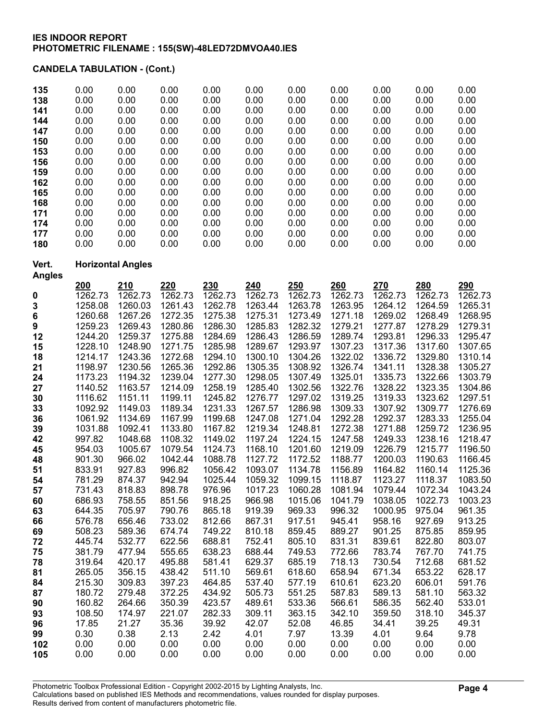# CANDELA TABULATION - (Cont.)

| 135<br>138<br>141<br>144<br>147<br>150<br>153<br>156<br>159<br>162<br>165<br>168<br>171<br>174<br>177<br>180 | 0.00<br>0.00<br>0.00<br>0.00<br>0.00<br>0.00<br>0.00<br>0.00<br>0.00<br>0.00<br>0.00<br>0.00<br>0.00<br>0.00<br>0.00<br>0.00 | 0.00<br>0.00<br>0.00<br>0.00<br>0.00<br>0.00<br>0.00<br>0.00<br>0.00<br>0.00<br>0.00<br>0.00<br>0.00<br>0.00<br>0.00<br>0.00 | 0.00<br>0.00<br>0.00<br>0.00<br>0.00<br>0.00<br>0.00<br>0.00<br>0.00<br>0.00<br>0.00<br>0.00<br>0.00<br>0.00<br>0.00<br>0.00 | 0.00<br>0.00<br>0.00<br>0.00<br>0.00<br>0.00<br>0.00<br>0.00<br>0.00<br>0.00<br>0.00<br>0.00<br>0.00<br>0.00<br>0.00<br>0.00 | 0.00<br>0.00<br>0.00<br>0.00<br>0.00<br>0.00<br>0.00<br>0.00<br>0.00<br>0.00<br>0.00<br>0.00<br>0.00<br>0.00<br>0.00<br>0.00 | 0.00<br>0.00<br>0.00<br>0.00<br>0.00<br>0.00<br>0.00<br>0.00<br>0.00<br>0.00<br>0.00<br>0.00<br>0.00<br>0.00<br>0.00<br>0.00 | 0.00<br>0.00<br>0.00<br>0.00<br>0.00<br>0.00<br>0.00<br>0.00<br>0.00<br>0.00<br>0.00<br>0.00<br>0.00<br>0.00<br>0.00<br>0.00 | 0.00<br>0.00<br>0.00<br>0.00<br>0.00<br>0.00<br>0.00<br>0.00<br>0.00<br>0.00<br>0.00<br>0.00<br>0.00<br>0.00<br>0.00<br>0.00 | 0.00<br>0.00<br>0.00<br>0.00<br>0.00<br>0.00<br>0.00<br>0.00<br>0.00<br>0.00<br>0.00<br>0.00<br>0.00<br>0.00<br>0.00<br>0.00 | 0.00<br>0.00<br>0.00<br>0.00<br>0.00<br>0.00<br>0.00<br>0.00<br>0.00<br>0.00<br>0.00<br>0.00<br>0.00<br>0.00<br>0.00<br>0.00 |
|--------------------------------------------------------------------------------------------------------------|------------------------------------------------------------------------------------------------------------------------------|------------------------------------------------------------------------------------------------------------------------------|------------------------------------------------------------------------------------------------------------------------------|------------------------------------------------------------------------------------------------------------------------------|------------------------------------------------------------------------------------------------------------------------------|------------------------------------------------------------------------------------------------------------------------------|------------------------------------------------------------------------------------------------------------------------------|------------------------------------------------------------------------------------------------------------------------------|------------------------------------------------------------------------------------------------------------------------------|------------------------------------------------------------------------------------------------------------------------------|
| Vert.                                                                                                        |                                                                                                                              | <b>Horizontal Angles</b>                                                                                                     |                                                                                                                              |                                                                                                                              |                                                                                                                              |                                                                                                                              |                                                                                                                              |                                                                                                                              |                                                                                                                              |                                                                                                                              |
| <b>Angles</b>                                                                                                |                                                                                                                              |                                                                                                                              |                                                                                                                              |                                                                                                                              |                                                                                                                              |                                                                                                                              |                                                                                                                              |                                                                                                                              |                                                                                                                              |                                                                                                                              |
|                                                                                                              | 200                                                                                                                          | 210                                                                                                                          | 220                                                                                                                          | 230                                                                                                                          | 240                                                                                                                          | 250<br>1262.73                                                                                                               | 260                                                                                                                          | 270<br>1262.73                                                                                                               | 280                                                                                                                          | 290                                                                                                                          |
| 0                                                                                                            | 1262.73<br>1258.08                                                                                                           | 1262.73<br>1260.03                                                                                                           | 1262.73<br>1261.43                                                                                                           | 1262.73<br>1262.78                                                                                                           | 1262.73<br>1263.44                                                                                                           | 1263.78                                                                                                                      | 1262.73<br>1263.95                                                                                                           | 1264.12                                                                                                                      | 1262.73<br>1264.59                                                                                                           | 1262.73<br>1265.31                                                                                                           |
| 3<br>6                                                                                                       | 1260.68                                                                                                                      | 1267.26                                                                                                                      | 1272.35                                                                                                                      | 1275.38                                                                                                                      | 1275.31                                                                                                                      | 1273.49                                                                                                                      | 1271.18                                                                                                                      | 1269.02                                                                                                                      | 1268.49                                                                                                                      | 1268.95                                                                                                                      |
| 9                                                                                                            | 1259.23                                                                                                                      | 1269.43                                                                                                                      | 1280.86                                                                                                                      | 1286.30                                                                                                                      | 1285.83                                                                                                                      | 1282.32                                                                                                                      | 1279.21                                                                                                                      | 1277.87                                                                                                                      | 1278.29                                                                                                                      | 1279.31                                                                                                                      |
| 12                                                                                                           | 1244.20                                                                                                                      | 1259.37                                                                                                                      | 1275.88                                                                                                                      | 1284.69                                                                                                                      | 1286.43                                                                                                                      | 1286.59                                                                                                                      | 1289.74                                                                                                                      | 1293.81                                                                                                                      | 1296.33                                                                                                                      | 1295.47                                                                                                                      |
| 15                                                                                                           | 1228.10                                                                                                                      | 1248.90                                                                                                                      | 1271.75                                                                                                                      | 1285.98                                                                                                                      | 1289.67                                                                                                                      | 1293.97                                                                                                                      | 1307.23                                                                                                                      | 1317.36                                                                                                                      | 1317.60                                                                                                                      | 1307.65                                                                                                                      |
| 18                                                                                                           | 1214.17                                                                                                                      | 1243.36                                                                                                                      | 1272.68                                                                                                                      | 1294.10                                                                                                                      | 1300.10                                                                                                                      | 1304.26                                                                                                                      | 1322.02                                                                                                                      | 1336.72                                                                                                                      | 1329.80                                                                                                                      | 1310.14                                                                                                                      |
| 21                                                                                                           | 1198.97                                                                                                                      | 1230.56                                                                                                                      | 1265.36                                                                                                                      | 1292.86                                                                                                                      | 1305.35                                                                                                                      | 1308.92                                                                                                                      | 1326.74                                                                                                                      | 1341.11                                                                                                                      | 1328.38                                                                                                                      | 1305.27                                                                                                                      |
| 24                                                                                                           | 1173.23                                                                                                                      | 1194.32                                                                                                                      | 1239.04                                                                                                                      | 1277.30                                                                                                                      | 1298.05                                                                                                                      | 1307.49                                                                                                                      | 1325.01                                                                                                                      | 1335.73                                                                                                                      | 1322.66                                                                                                                      | 1303.79                                                                                                                      |
| 27                                                                                                           | 1140.52                                                                                                                      | 1163.57                                                                                                                      | 1214.09                                                                                                                      | 1258.19                                                                                                                      | 1285.40                                                                                                                      | 1302.56                                                                                                                      | 1322.76                                                                                                                      | 1328.22                                                                                                                      | 1323.35                                                                                                                      | 1304.86                                                                                                                      |
| 30                                                                                                           | 1116.62                                                                                                                      | 1151.11                                                                                                                      | 1199.11                                                                                                                      | 1245.82                                                                                                                      | 1276.77                                                                                                                      | 1297.02                                                                                                                      | 1319.25                                                                                                                      | 1319.33                                                                                                                      | 1323.62                                                                                                                      | 1297.51                                                                                                                      |
| 33                                                                                                           | 1092.92                                                                                                                      | 1149.03                                                                                                                      | 1189.34                                                                                                                      | 1231.33                                                                                                                      | 1267.57                                                                                                                      | 1286.98                                                                                                                      | 1309.33                                                                                                                      | 1307.92                                                                                                                      | 1309.77                                                                                                                      | 1276.69                                                                                                                      |
| 36                                                                                                           | 1061.92                                                                                                                      | 1134.69                                                                                                                      | 1167.99                                                                                                                      | 1199.68                                                                                                                      | 1247.08                                                                                                                      | 1271.04                                                                                                                      | 1292.28                                                                                                                      | 1292.37                                                                                                                      | 1283.33                                                                                                                      | 1255.04                                                                                                                      |
| 39<br>42                                                                                                     | 1031.88<br>997.82                                                                                                            | 1092.41<br>1048.68                                                                                                           | 1133.80<br>1108.32                                                                                                           | 1167.82<br>1149.02                                                                                                           | 1219.34<br>1197.24                                                                                                           | 1248.81<br>1224.15                                                                                                           | 1272.38<br>1247.58                                                                                                           | 1271.88<br>1249.33                                                                                                           | 1259.72<br>1238.16                                                                                                           | 1236.95<br>1218.47                                                                                                           |
| 45                                                                                                           | 954.03                                                                                                                       | 1005.67                                                                                                                      | 1079.54                                                                                                                      | 1124.73                                                                                                                      | 1168.10                                                                                                                      | 1201.60                                                                                                                      | 1219.09                                                                                                                      | 1226.79                                                                                                                      | 1215.77                                                                                                                      | 1196.50                                                                                                                      |
| 48                                                                                                           | 901.30                                                                                                                       | 966.02                                                                                                                       | 1042.44                                                                                                                      | 1088.78                                                                                                                      | 1127.72                                                                                                                      | 1172.52                                                                                                                      | 1188.77                                                                                                                      | 1200.03                                                                                                                      | 1190.63                                                                                                                      | 1166.45                                                                                                                      |
| 51                                                                                                           | 833.91                                                                                                                       | 927.83                                                                                                                       | 996.82                                                                                                                       | 1056.42                                                                                                                      | 1093.07                                                                                                                      | 1134.78                                                                                                                      | 1156.89                                                                                                                      | 1164.82                                                                                                                      | 1160.14                                                                                                                      | 1125.36                                                                                                                      |
| 54                                                                                                           | 781.29                                                                                                                       | 874.37                                                                                                                       | 942.94                                                                                                                       | 1025.44                                                                                                                      | 1059.32                                                                                                                      | 1099.15                                                                                                                      | 1118.87                                                                                                                      | 1123.27                                                                                                                      | 1118.37                                                                                                                      | 1083.50                                                                                                                      |
| 57                                                                                                           | 731.43                                                                                                                       | 818.83                                                                                                                       | 898.78                                                                                                                       | 976.96                                                                                                                       | 1017.23                                                                                                                      | 1060.28                                                                                                                      | 1081.94                                                                                                                      | 1079.44                                                                                                                      | 1072.34                                                                                                                      | 1043.24                                                                                                                      |
| 60                                                                                                           | 686.93                                                                                                                       | 758.55                                                                                                                       | 851.56                                                                                                                       | 918.25                                                                                                                       | 966.98                                                                                                                       | 1015.06                                                                                                                      | 1041.79                                                                                                                      | 1038.05                                                                                                                      | 1022.73                                                                                                                      | 1003.23                                                                                                                      |
| 63                                                                                                           | 644.35                                                                                                                       | 705.97                                                                                                                       | 790.76                                                                                                                       | 865.18                                                                                                                       | 919.39                                                                                                                       | 969.33                                                                                                                       | 996.32                                                                                                                       | 1000.95                                                                                                                      | 975.04                                                                                                                       | 961.35                                                                                                                       |
| 66                                                                                                           | 576.78                                                                                                                       | 656.46                                                                                                                       | 733.02                                                                                                                       | 812.66                                                                                                                       | 867.31                                                                                                                       | 917.51                                                                                                                       | 945.41                                                                                                                       | 958.16                                                                                                                       | 927.69                                                                                                                       | 913.25                                                                                                                       |
| 69                                                                                                           | 508.23                                                                                                                       | 589.36                                                                                                                       | 674.74                                                                                                                       | 749.22                                                                                                                       | 810.18                                                                                                                       | 859.45                                                                                                                       | 889.27                                                                                                                       | 901.25                                                                                                                       | 875.85                                                                                                                       | 859.95                                                                                                                       |
| 72<br>75                                                                                                     | 445.74<br>381.79                                                                                                             | 532.77<br>477.94                                                                                                             | 622.56<br>555.65                                                                                                             | 688.81<br>638.23                                                                                                             | 752.41<br>688.44                                                                                                             | 805.10<br>749.53                                                                                                             | 831.31<br>772.66                                                                                                             | 839.61<br>783.74                                                                                                             | 822.80<br>767.70                                                                                                             | 803.07<br>741.75                                                                                                             |
| 78                                                                                                           | 319.64                                                                                                                       | 420.17                                                                                                                       | 495.88                                                                                                                       | 581.41                                                                                                                       | 629.37                                                                                                                       | 685.19                                                                                                                       | 718.13                                                                                                                       | 730.54                                                                                                                       | 712.68                                                                                                                       | 681.52                                                                                                                       |
| 81                                                                                                           | 265.05                                                                                                                       | 356.15                                                                                                                       | 438.42                                                                                                                       | 511.10                                                                                                                       | 569.61                                                                                                                       | 618.60                                                                                                                       | 658.94                                                                                                                       | 671.34                                                                                                                       | 653.22                                                                                                                       | 628.17                                                                                                                       |
| 84                                                                                                           | 215.30                                                                                                                       | 309.83                                                                                                                       | 397.23                                                                                                                       | 464.85                                                                                                                       | 537.40                                                                                                                       | 577.19                                                                                                                       | 610.61                                                                                                                       | 623.20                                                                                                                       | 606.01                                                                                                                       | 591.76                                                                                                                       |
| 87                                                                                                           | 180.72                                                                                                                       | 279.48                                                                                                                       | 372.25                                                                                                                       | 434.92                                                                                                                       | 505.73                                                                                                                       | 551.25                                                                                                                       | 587.83                                                                                                                       | 589.13                                                                                                                       | 581.10                                                                                                                       | 563.32                                                                                                                       |
| 90                                                                                                           | 160.82                                                                                                                       | 264.66                                                                                                                       | 350.39                                                                                                                       | 423.57                                                                                                                       | 489.61                                                                                                                       | 533.36                                                                                                                       | 566.61                                                                                                                       | 586.35                                                                                                                       | 562.40                                                                                                                       | 533.01                                                                                                                       |
| 93                                                                                                           | 108.50                                                                                                                       | 174.97                                                                                                                       | 221.07                                                                                                                       | 282.33                                                                                                                       | 309.11                                                                                                                       | 363.15                                                                                                                       | 342.10                                                                                                                       | 359.50                                                                                                                       | 318.10                                                                                                                       | 345.37                                                                                                                       |
| 96                                                                                                           | 17.85                                                                                                                        | 21.27                                                                                                                        | 35.36                                                                                                                        | 39.92                                                                                                                        | 42.07                                                                                                                        | 52.08                                                                                                                        | 46.85                                                                                                                        | 34.41                                                                                                                        | 39.25                                                                                                                        | 49.31                                                                                                                        |
| 99                                                                                                           | 0.30                                                                                                                         | 0.38                                                                                                                         | 2.13                                                                                                                         | 2.42                                                                                                                         | 4.01                                                                                                                         | 7.97                                                                                                                         | 13.39                                                                                                                        | 4.01                                                                                                                         | 9.64                                                                                                                         | 9.78                                                                                                                         |
| 102                                                                                                          | 0.00                                                                                                                         | 0.00                                                                                                                         | 0.00                                                                                                                         | 0.00                                                                                                                         | 0.00                                                                                                                         | 0.00                                                                                                                         | 0.00                                                                                                                         | 0.00                                                                                                                         | 0.00                                                                                                                         | 0.00                                                                                                                         |
| 105                                                                                                          | 0.00                                                                                                                         | 0.00                                                                                                                         | 0.00                                                                                                                         | 0.00                                                                                                                         | 0.00                                                                                                                         | 0.00                                                                                                                         | 0.00                                                                                                                         | 0.00                                                                                                                         | 0.00                                                                                                                         | 0.00                                                                                                                         |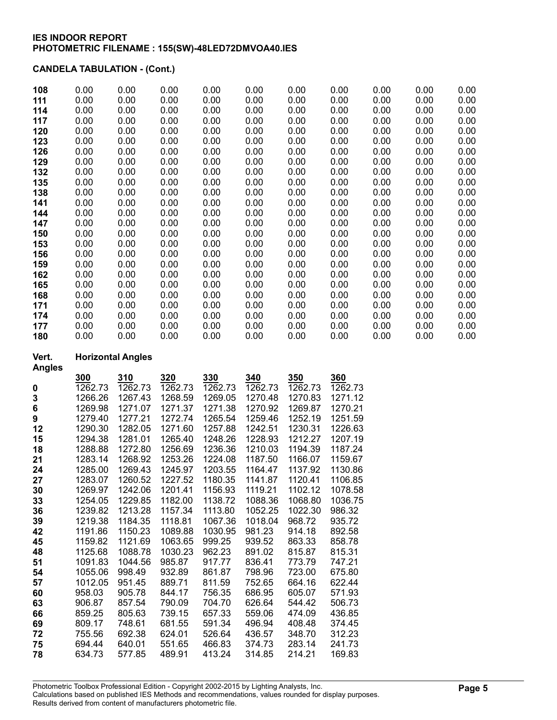## CANDELA TABULATION - (Cont.)

| 108 | 0.00 | 0.00 | 0.00 | 0.00 | 0.00 | 0.00 | 0.00 | 0.00 | 0.00 | 0.00 |
|-----|------|------|------|------|------|------|------|------|------|------|
| 111 | 0.00 | 0.00 | 0.00 | 0.00 | 0.00 | 0.00 | 0.00 | 0.00 | 0.00 | 0.00 |
| 114 | 0.00 | 0.00 | 0.00 | 0.00 | 0.00 | 0.00 | 0.00 | 0.00 | 0.00 | 0.00 |
| 117 | 0.00 | 0.00 | 0.00 | 0.00 | 0.00 | 0.00 | 0.00 | 0.00 | 0.00 | 0.00 |
| 120 | 0.00 | 0.00 | 0.00 | 0.00 | 0.00 | 0.00 | 0.00 | 0.00 | 0.00 | 0.00 |
| 123 | 0.00 | 0.00 | 0.00 | 0.00 | 0.00 | 0.00 | 0.00 | 0.00 | 0.00 | 0.00 |
| 126 | 0.00 | 0.00 | 0.00 | 0.00 | 0.00 | 0.00 | 0.00 | 0.00 | 0.00 | 0.00 |
| 129 | 0.00 | 0.00 | 0.00 | 0.00 | 0.00 | 0.00 | 0.00 | 0.00 | 0.00 | 0.00 |
| 132 | 0.00 | 0.00 | 0.00 | 0.00 | 0.00 | 0.00 | 0.00 | 0.00 | 0.00 | 0.00 |
| 135 | 0.00 | 0.00 | 0.00 | 0.00 | 0.00 | 0.00 | 0.00 | 0.00 | 0.00 | 0.00 |
| 138 | 0.00 | 0.00 | 0.00 | 0.00 | 0.00 | 0.00 | 0.00 | 0.00 | 0.00 | 0.00 |
| 141 | 0.00 | 0.00 | 0.00 | 0.00 | 0.00 | 0.00 | 0.00 | 0.00 | 0.00 | 0.00 |
| 144 | 0.00 | 0.00 | 0.00 | 0.00 | 0.00 | 0.00 | 0.00 | 0.00 | 0.00 | 0.00 |
| 147 | 0.00 | 0.00 | 0.00 | 0.00 | 0.00 | 0.00 | 0.00 | 0.00 | 0.00 | 0.00 |
| 150 | 0.00 | 0.00 | 0.00 | 0.00 | 0.00 | 0.00 | 0.00 | 0.00 | 0.00 | 0.00 |
| 153 | 0.00 | 0.00 | 0.00 | 0.00 | 0.00 | 0.00 | 0.00 | 0.00 | 0.00 | 0.00 |
| 156 | 0.00 | 0.00 | 0.00 | 0.00 | 0.00 | 0.00 | 0.00 | 0.00 | 0.00 | 0.00 |
| 159 | 0.00 | 0.00 | 0.00 | 0.00 | 0.00 | 0.00 | 0.00 | 0.00 | 0.00 | 0.00 |
| 162 | 0.00 | 0.00 | 0.00 | 0.00 | 0.00 | 0.00 | 0.00 | 0.00 | 0.00 | 0.00 |
| 165 | 0.00 | 0.00 | 0.00 | 0.00 | 0.00 | 0.00 | 0.00 | 0.00 | 0.00 | 0.00 |
| 168 | 0.00 | 0.00 | 0.00 | 0.00 | 0.00 | 0.00 | 0.00 | 0.00 | 0.00 | 0.00 |
| 171 | 0.00 | 0.00 | 0.00 | 0.00 | 0.00 | 0.00 | 0.00 | 0.00 | 0.00 | 0.00 |
| 174 | 0.00 | 0.00 | 0.00 | 0.00 | 0.00 | 0.00 | 0.00 | 0.00 | 0.00 | 0.00 |
| 177 | 0.00 | 0.00 | 0.00 | 0.00 | 0.00 | 0.00 | 0.00 | 0.00 | 0.00 | 0.00 |
| 180 | 0.00 | 0.00 | 0.00 | 0.00 | 0.00 | 0.00 | 0.00 | 0.00 | 0.00 | 0.00 |

## Vert. Horizontal Angles

|    | 300     | 310     | 320     | 330     | <b>340</b> | 350     | 360     |
|----|---------|---------|---------|---------|------------|---------|---------|
| 0  | 1262.73 | 1262.73 | 1262.73 | 1262.73 | 1262.73    | 1262.73 | 1262.73 |
| 3  | 1266.26 | 1267.43 | 1268.59 | 1269.05 | 1270.48    | 1270.83 | 1271.12 |
| 6  | 1269.98 | 1271.07 | 1271.37 | 1271.38 | 1270.92    | 1269.87 | 1270.21 |
| 9  | 1279.40 | 1277.21 | 1272.74 | 1265.54 | 1259.46    | 1252.19 | 1251.59 |
| 12 | 1290.30 | 1282.05 | 1271.60 | 1257.88 | 1242.51    | 1230.31 | 1226.63 |
| 15 | 1294.38 | 1281.01 | 1265.40 | 1248.26 | 1228.93    | 1212.27 | 1207.19 |
| 18 | 1288.88 | 1272.80 | 1256.69 | 1236.36 | 1210.03    | 1194.39 | 1187.24 |
| 21 | 1283.14 | 1268.92 | 1253.26 | 1224.08 | 1187.50    | 1166.07 | 1159.67 |
| 24 | 1285.00 | 1269.43 | 1245.97 | 1203.55 | 1164.47    | 1137.92 | 1130.86 |
| 27 | 1283.07 | 1260.52 | 1227.52 | 1180.35 | 1141.87    | 1120.41 | 1106.85 |
| 30 | 1269.97 | 1242.06 | 1201.41 | 1156.93 | 1119.21    | 1102.12 | 1078.58 |
| 33 | 1254.05 | 1229.85 | 1182.00 | 1138.72 | 1088.36    | 1068.80 | 1036.75 |
| 36 | 1239.82 | 1213.28 | 1157.34 | 1113.80 | 1052.25    | 1022.30 | 986.32  |
| 39 | 1219.38 | 1184.35 | 1118.81 | 1067.36 | 1018.04    | 968.72  | 935.72  |
| 42 | 1191.86 | 1150.23 | 1089.88 | 1030.95 | 981.23     | 914.18  | 892.58  |
| 45 | 1159.82 | 1121.69 | 1063.65 | 999.25  | 939.52     | 863.33  | 858.78  |
| 48 | 1125.68 | 1088.78 | 1030.23 | 962.23  | 891.02     | 815.87  | 815.31  |
| 51 | 1091.83 | 1044.56 | 985.87  | 917.77  | 836.41     | 773.79  | 747.21  |
| 54 | 1055.06 | 998.49  | 932.89  | 861.87  | 798.96     | 723.00  | 675.80  |
| 57 | 1012.05 | 951.45  | 889.71  | 811.59  | 752.65     | 664.16  | 622.44  |
| 60 | 958.03  | 905.78  | 844.17  | 756.35  | 686.95     | 605.07  | 571.93  |
| 63 | 906.87  | 857.54  | 790.09  | 704.70  | 626.64     | 544.42  | 506.73  |
| 66 | 859.25  | 805.63  | 739.15  | 657.33  | 559.06     | 474.09  | 436.85  |
| 69 | 809.17  | 748.61  | 681.55  | 591.34  | 496.94     | 408.48  | 374.45  |
| 72 | 755.56  | 692.38  | 624.01  | 526.64  | 436.57     | 348.70  | 312.23  |
| 75 | 694.44  | 640.01  | 551.65  | 466.83  | 374.73     | 283.14  | 241.73  |
| 78 | 634.73  | 577.85  | 489.91  | 413.24  | 314.85     | 214.21  | 169.83  |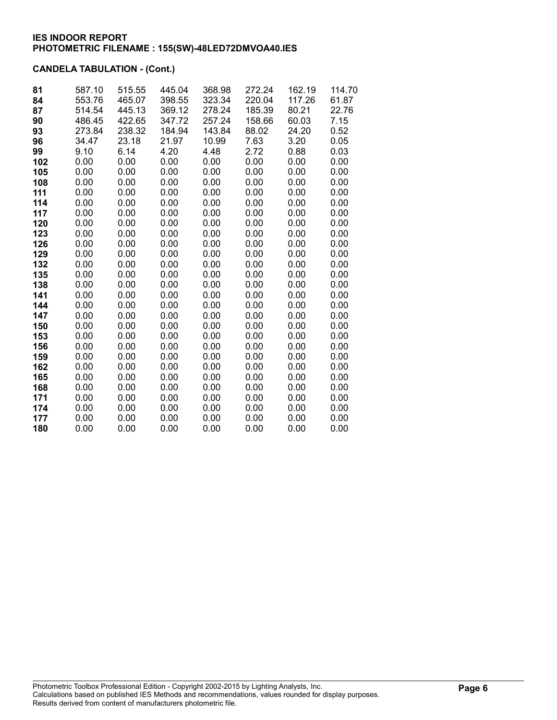# CANDELA TABULATION - (Cont.)

| 81  | 587.10 | 515.55 | 445.04 | 368.98 | 272.24 | 162.19 | 114.70 |
|-----|--------|--------|--------|--------|--------|--------|--------|
| 84  | 553.76 | 465.07 | 398.55 | 323.34 | 220.04 | 117.26 | 61.87  |
| 87  | 514.54 | 445.13 | 369.12 | 278.24 | 185.39 | 80.21  | 22.76  |
| 90  | 486.45 | 422.65 | 347.72 | 257.24 | 158.66 | 60.03  | 7.15   |
| 93  | 273.84 | 238.32 | 184.94 | 143.84 | 88.02  | 24.20  | 0.52   |
| 96  | 34.47  | 23.18  | 21.97  | 10.99  | 7.63   | 3.20   | 0.05   |
| 99  | 9.10   | 6.14   | 4.20   | 4.48   | 2.72   | 0.88   | 0.03   |
| 102 | 0.00   | 0.00   | 0.00   | 0.00   | 0.00   | 0.00   | 0.00   |
| 105 | 0.00   | 0.00   | 0.00   | 0.00   | 0.00   | 0.00   | 0.00   |
| 108 | 0.00   | 0.00   | 0.00   | 0.00   | 0.00   | 0.00   | 0.00   |
| 111 | 0.00   | 0.00   | 0.00   | 0.00   | 0.00   | 0.00   | 0.00   |
| 114 | 0.00   | 0.00   | 0.00   | 0.00   | 0.00   | 0.00   | 0.00   |
| 117 | 0.00   | 0.00   | 0.00   | 0.00   | 0.00   | 0.00   | 0.00   |
| 120 | 0.00   | 0.00   | 0.00   | 0.00   | 0.00   | 0.00   | 0.00   |
| 123 | 0.00   | 0.00   | 0.00   | 0.00   | 0.00   | 0.00   | 0.00   |
| 126 | 0.00   | 0.00   | 0.00   | 0.00   | 0.00   | 0.00   | 0.00   |
| 129 | 0.00   | 0.00   | 0.00   | 0.00   | 0.00   | 0.00   | 0.00   |
| 132 | 0.00   | 0.00   | 0.00   | 0.00   | 0.00   | 0.00   | 0.00   |
| 135 | 0.00   | 0.00   | 0.00   | 0.00   | 0.00   | 0.00   | 0.00   |
| 138 | 0.00   | 0.00   | 0.00   | 0.00   | 0.00   | 0.00   | 0.00   |
| 141 | 0.00   | 0.00   | 0.00   | 0.00   | 0.00   | 0.00   | 0.00   |
| 144 | 0.00   | 0.00   | 0.00   | 0.00   | 0.00   | 0.00   | 0.00   |
| 147 | 0.00   | 0.00   | 0.00   | 0.00   | 0.00   | 0.00   | 0.00   |
| 150 | 0.00   | 0.00   | 0.00   | 0.00   | 0.00   | 0.00   | 0.00   |
| 153 | 0.00   | 0.00   | 0.00   | 0.00   | 0.00   | 0.00   | 0.00   |
| 156 | 0.00   | 0.00   | 0.00   | 0.00   | 0.00   | 0.00   | 0.00   |
| 159 | 0.00   | 0.00   | 0.00   | 0.00   | 0.00   | 0.00   | 0.00   |
| 162 | 0.00   | 0.00   | 0.00   | 0.00   | 0.00   | 0.00   | 0.00   |
| 165 | 0.00   | 0.00   | 0.00   | 0.00   | 0.00   | 0.00   | 0.00   |
| 168 | 0.00   | 0.00   | 0.00   | 0.00   | 0.00   | 0.00   | 0.00   |
| 171 | 0.00   | 0.00   | 0.00   | 0.00   | 0.00   | 0.00   | 0.00   |
| 174 | 0.00   | 0.00   | 0.00   | 0.00   | 0.00   | 0.00   | 0.00   |
| 177 | 0.00   | 0.00   | 0.00   | 0.00   | 0.00   | 0.00   | 0.00   |
| 180 | 0.00   | 0.00   | 0.00   | 0.00   | 0.00   | 0.00   | 0.00   |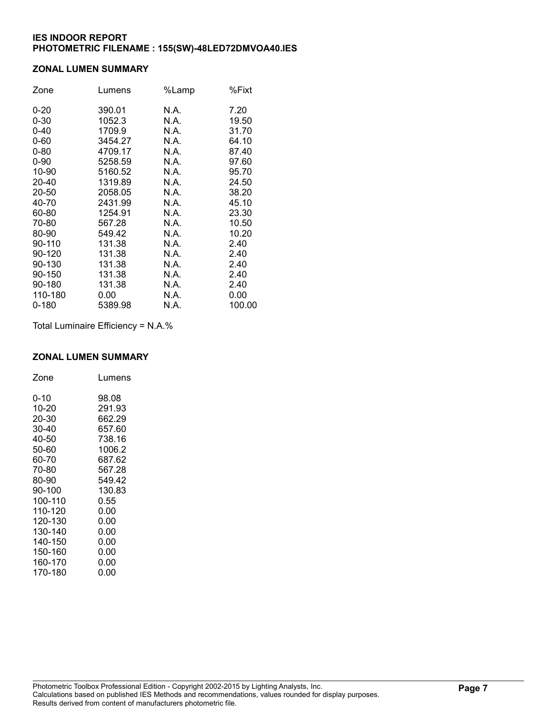#### ZONAL LUMEN SUMMARY

| Zone     | Lumens  | %Lamp | %Fixt  |
|----------|---------|-------|--------|
| $0 - 20$ | 390.01  | N.A.  | 7.20   |
| $0 - 30$ | 1052.3  | N.A.  | 19.50  |
| $0 - 40$ | 1709.9  | N.A.  | 31.70  |
| $0 - 60$ | 3454.27 | N.A.  | 64.10  |
| $0 - 80$ | 4709.17 | N.A.  | 87.40  |
| $0 - 90$ | 5258.59 | N.A.  | 97.60  |
| 10-90    | 5160.52 | N.A.  | 95.70  |
| 20-40    | 1319.89 | N.A.  | 24.50  |
| 20-50    | 2058.05 | N.A.  | 38.20  |
| 40-70    | 2431.99 | N.A.  | 45.10  |
| 60-80    | 1254.91 | N.A.  | 23.30  |
| 70-80    | 567.28  | N.A.  | 10.50  |
| 80-90    | 549.42  | N.A.  | 10.20  |
| 90-110   | 131.38  | N.A.  | 2.40   |
| 90-120   | 131.38  | N.A.  | 2.40   |
| 90-130   | 131.38  | N.A.  | 2.40   |
| 90-150   | 131.38  | N.A.  | 2.40   |
| 90-180   | 131.38  | N.A.  | 2.40   |
| 110-180  | 0.00    | N.A.  | 0.00   |
| 0-180    | 5389.98 | N.A.  | 100.00 |

Total Luminaire Efficiency = N.A.%

## ZONAL LUMEN SUMMARY

| Zone    | Lumens |
|---------|--------|
| 0-10    | 98.08  |
| 10-20   | 291.93 |
| 20-30   | 662.29 |
| 30-40   | 657.60 |
| 40-50   | 738.16 |
| 50-60   | 1006.2 |
| 60-70   | 687.62 |
| 70-80   | 567.28 |
| 80-90   | 549.42 |
| 90-100  | 130.83 |
| 100-110 | 0.55   |
| 110-120 | 0.00   |
| 120-130 | 0.00   |
| 130-140 | 0.00   |
| 140-150 | 0.00   |
| 150-160 | 0.00   |
| 160-170 | 0.00   |
| 170-180 | 0.00   |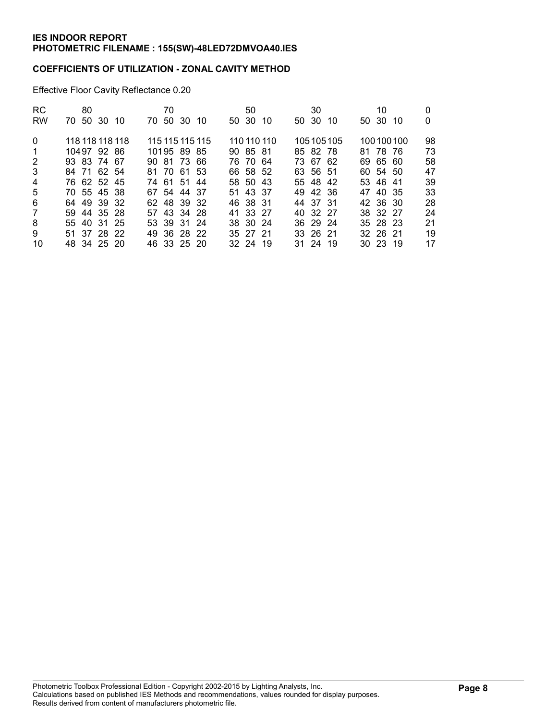## COEFFICIENTS OF UTILIZATION - ZONAL CAVITY METHOD

Effective Floor Cavity Reflectance 0.20

| <b>RC</b>      | 80              |  | 70       |             |                 | 50       |             | 30       |           | 10                   |           |    |
|----------------|-----------------|--|----------|-------------|-----------------|----------|-------------|----------|-----------|----------------------|-----------|----|
| <b>RW</b>      | 70 50 30 10     |  | 70 50 30 |             | - 10            | 50 30    | -10         | 50 30    | -10       | 50 30                | -10       | 0  |
| $\Omega$       | 118 118 118 118 |  |          |             | 115 115 115 115 |          | 110 110 110 |          | 105105105 |                      | 100100100 | 98 |
| -1             | 10497 92 86     |  |          | 10195 89 85 |                 | 90 85 81 |             | 85 82 78 |           | 81 78 76             |           | 73 |
| 2              | 93 83 74 67     |  |          | 90 81 73 66 |                 | 76 70 64 |             | 73 67 62 |           | 69 65 60             |           | 58 |
| 3              | 84 71 62 54     |  |          | 81 70 61 53 |                 | 66 58 52 |             | 63 56 51 |           | 60 54 50             |           | 47 |
| $\overline{4}$ | 76 62 52 45     |  |          | 74 61 51 44 |                 | 58 50 43 |             | 55 48 42 |           | 53 46 41             |           | 39 |
| 5              | 70 55 45 38     |  |          | 67 54 44 37 |                 | 51 43 37 |             | 49 42 36 |           | 47 40 35             |           | 33 |
| 6              | 64 49 39 32     |  |          | 62 48 39 32 |                 | 46 38 31 |             | 44 37 31 |           | 42 36 30             |           | 28 |
| 7              | 59 44 35 28     |  |          | 57 43 34 28 |                 | 41 33 27 |             | 40 32 27 |           | 38 32 27             |           | 24 |
| 8              | 55 40 31 25     |  |          | 53 39 31 24 |                 | 38 30 24 |             | 36 29 24 |           | 35 28 23             |           | 21 |
| 9              | 51 37 28 22     |  |          | 49 36 28 22 |                 | 35 27 21 |             | 33 26 21 |           | 32 26 21             |           | 19 |
| 10             | 48 34 25 20     |  |          | 46 33 25 20 |                 | 32 24 19 |             | 31 24 19 |           | $30\quad 23\quad 19$ |           | 17 |